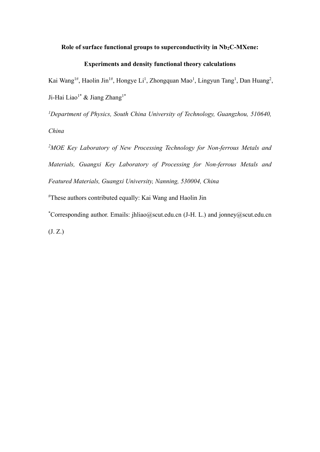# Role of surface functional groups to superconductivity in Nb<sub>2</sub>C-MXene:

# **Experiments and density functional theory calculations**

Kai Wang<sup>1#</sup>, Haolin Jin<sup>1#</sup>, Hongye Li<sup>1</sup>, Zhongquan Mao<sup>1</sup>, Lingyun Tang<sup>1</sup>, Dan Huang<sup>2</sup>, Ji-Hai Liao<sup>1\*</sup> & Jiang Zhang<sup>1\*</sup>

*1 Department of Physics, South China University of Technology, Guangzhou, 510640, China* 

*2MOE Key Laboratory of New Processing Technology for Non-ferrous Metals and Materials, Guangxi Key Laboratory of Processing for Non-ferrous Metals and Featured Materials, Guangxi University, Nanning, 530004, China*

# These authors contributed equally: Kai Wang and Haolin Jin

\* Corresponding author. Emails: jhliao@scut.edu.cn (J-H. L.) and jonney@scut.edu.cn (J. Z.)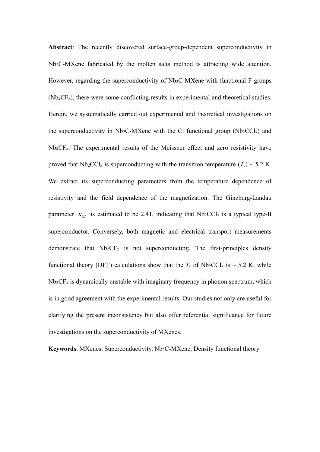**Abstract**: The recently discovered surface-group-dependent superconductivity in Nb2C-MXene fabricated by the molten salts method is attracting wide attention. However, regarding the superconductivity of  $Nb<sub>2</sub>C-MX$ ene with functional F groups (Nb2CFx), there were some conflicting results in experimental and theoretical studies. Herein, we systematically carried out experimental and theoretical investigations on the superconductivity in Nb<sub>2</sub>C-MXene with the Cl functional group (Nb<sub>2</sub>CCl<sub>x</sub>) and Nb2CFx. The experimental results of the Meissner effect and zero resistivity have proved that  $Nb_2CCl_x$  is superconducting with the transition temperature ( $T_c$ ) ~ 5.2 K. We extract its superconducting parameters from the temperature dependence of resistivity and the field dependence of the magnetization. The Ginzburg-Landau parameter  $\kappa_{GL}$  is estimated to be 2.41, indicating that Nb<sub>2</sub>CCl<sub>x</sub> is a typical type-II superconductor. Conversely, both magnetic and electrical transport measurements demonstrate that  $Nb<sub>2</sub>CF<sub>x</sub>$  is not superconducting. The first-principles density functional theory (DFT) calculations show that the  $T_c$  of Nb<sub>2</sub>CCl<sub>x</sub> is  $\sim$  5.2 K, while  $Nb<sub>2</sub>CF<sub>x</sub>$  is dynamically unstable with imaginary frequency in phonon spectrum, which is in good agreement with the experimental results. Our studies not only are useful for clarifying the present inconsistency but also offer referential significance for future investigations on the superconductivity of MXenes.

Keywords: MXenes, Superconductivity, Nb<sub>2</sub>C-MXene, Density functional theory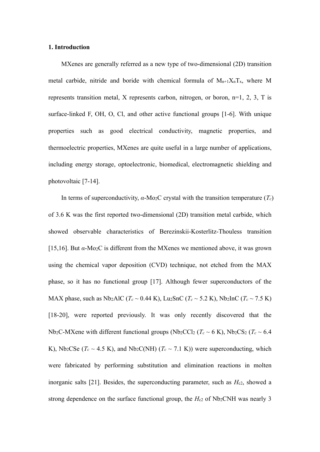#### **1. Introduction**

MXenes are generally referred as a new type of two-dimensional (2D) transition metal carbide, nitride and boride with chemical formula of  $M_{n+1}X_nT_x$ , where M represents transition metal, X represents carbon, nitrogen, or boron, n=1, 2, 3, T is surface-linked F, OH, O, Cl, and other active functional groups [1-6]. With unique properties such as good electrical conductivity, magnetic properties, and thermoelectric properties, MXenes are quite useful in a large number of applications, including energy storage, optoelectronic, biomedical, electromagnetic shielding and photovoltaic [7-14].

In terms of superconductivity,  $\alpha$ -Mo<sub>2</sub>C crystal with the transition temperature ( $T_c$ ) of 3.6 K was the first reported two-dimensional (2D) transition metal carbide, which showed observable characteristics of Berezinskii-Kosterlitz-Thouless transition [15,16]. But *α*-Mo2C is different from the MXenes we mentioned above, it was grown using the chemical vapor deposition (CVD) technique, not etched from the MAX phase, so it has no functional group [17]. Although fewer superconductors of the MAX phase, such as Nb<sub>2</sub>AlC ( $T_c \sim 0.44$  K), Lu<sub>2</sub>SnC ( $T_c \sim 5.2$  K), Nb<sub>2</sub>InC ( $T_c \sim 7.5$  K) [18-20], were reported previously. It was only recently discovered that the Nb<sub>2</sub>C-MXene with different functional groups (Nb<sub>2</sub>CCl<sub>2</sub> ( $T_c \sim 6$  K), Nb<sub>2</sub>CS<sub>2</sub> ( $T_c \sim 6.4$ ) K), Nb<sub>2</sub>CSe ( $T_c \sim 4.5$  K), and Nb<sub>2</sub>C(NH) ( $T_c \sim 7.1$  K)) were superconducting, which were fabricated by performing substitution and elimination reactions in molten inorganic salts [21]. Besides, the superconducting parameter, such as  $H_{c2}$ , showed a strong dependence on the surface functional group, the  $H_{c2}$  of Nb<sub>2</sub>CNH was nearly 3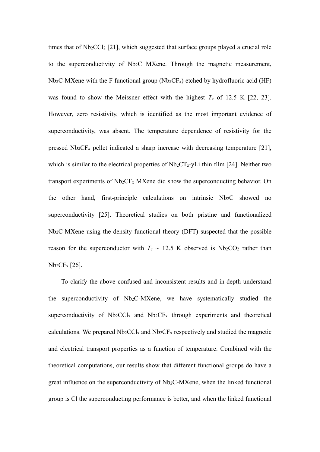times that of Nb2CCl2 [21], which suggested that surface groups played a crucial role to the superconductivity of Nb2C MXene. Through the magnetic measurement,  $Nb<sub>2</sub>C-MXene$  with the F functional group ( $Nb<sub>2</sub>CF<sub>x</sub>$ ) etched by hydrofluoric acid (HF) was found to show the Meissner effect with the highest  $T_c$  of 12.5 K [22, 23]. However, zero resistivity, which is identified as the most important evidence of superconductivity, was absent. The temperature dependence of resistivity for the pressed  $Nb<sub>2</sub>CF<sub>x</sub>$  pellet indicated a sharp increase with decreasing temperature [21], which is similar to the electrical properties of  $Nb<sub>2</sub>CT<sub>z</sub>$ -yLi thin film [24]. Neither two transport experiments of Nb2CFx MXene did show the superconducting behavior. On the other hand, first-principle calculations on intrinsic Nb<sub>2</sub>C showed no superconductivity [25]. Theoretical studies on both pristine and functionalized Nb2C-MXene using the density functional theory (DFT) suspected that the possible reason for the superconductor with  $T_c \sim 12.5$  K observed is Nb<sub>2</sub>CO<sub>2</sub> rather than Nb2CFx [26].

To clarify the above confused and inconsistent results and in-depth understand the superconductivity of Nb2C-MXene, we have systematically studied the superconductivity of  $Nb_2CCl_x$  and  $Nb_2CF_x$  through experiments and theoretical calculations. We prepared  $Nb_2CCl_x$  and  $Nb_2CF_x$  respectively and studied the magnetic and electrical transport properties as a function of temperature. Combined with the theoretical computations, our results show that different functional groups do have a great influence on the superconductivity of Nb2C-MXene, when the linked functional group is Cl the superconducting performance is better, and when the linked functional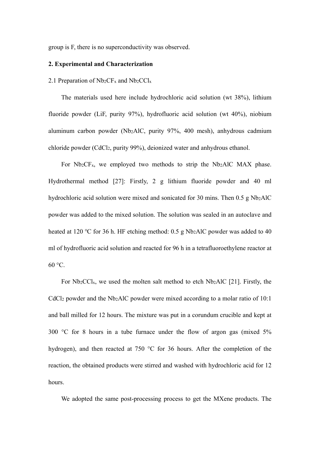group is F, there is no superconductivity was observed.

### **2. Experimental and Characterization**

### 2.1 Preparation of  $Nb<sub>2</sub>CF<sub>x</sub>$  and  $Nb<sub>2</sub>CCl<sub>x</sub>$

The materials used here include hydrochloric acid solution (wt 38%), lithium fluoride powder (LiF, purity 97%), hydrofluoric acid solution (wt 40%), niobium aluminum carbon powder (Nb2AlC, purity 97%, 400 mesh), anhydrous cadmium chloride powder (CdCl2, purity 99%), deionized water and anhydrous ethanol.

For Nb2CFx, we employed two methods to strip the Nb2AlC MAX phase. Hydrothermal method [27]: Firstly, 2 g lithium fluoride powder and 40 ml hydrochloric acid solution were mixed and sonicated for 30 mins. Then 0.5 g Nb2AlC powder was added to the mixed solution. The solution was sealed in an autoclave and heated at 120 ℃ for 36 h. HF etching method: 0.5 g Nb2AlC powder was added to 40 ml of hydrofluoric acid solution and reacted for 96 h in a tetrafluoroethylene reactor at  $60^{\circ}$ C.

For  $Nb_2CCl_x$ , we used the molten salt method to etch  $Nb_2AIC$  [21]. Firstly, the CdCl<sub>2</sub> powder and the Nb<sub>2</sub>AlC powder were mixed according to a molar ratio of 10:1 and ball milled for 12 hours. The mixture was put in a corundum crucible and kept at 300 °C for 8 hours in a tube furnace under the flow of argon gas (mixed 5%) hydrogen), and then reacted at 750 °C for 36 hours. After the completion of the reaction, the obtained products were stirred and washed with hydrochloric acid for 12 hours.

We adopted the same post-processing process to get the MXene products. The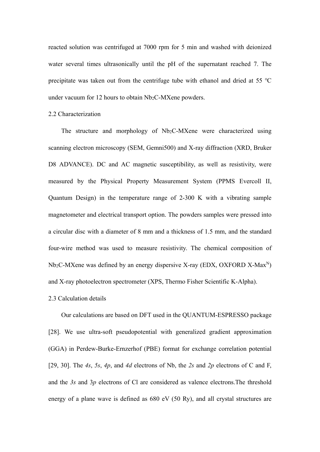reacted solution was centrifuged at 7000 rpm for 5 min and washed with deionized water several times ultrasonically until the pH of the supernatant reached 7. The precipitate was taken out from the centrifuge tube with ethanol and dried at 55 ℃ under vacuum for 12 hours to obtain Nb<sub>2</sub>C-MXene powders.

### 2.2 Characterization

The structure and morphology of Nb<sub>2</sub>C-MXene were characterized using scanning electron microscopy (SEM, Gemni500) and X-ray diffraction (XRD, Bruker D8 ADVANCE). DC and AC magnetic susceptibility, as well as resistivity, were measured by the Physical Property Measurement System (PPMS Evercoll II, Quantum Design) in the temperature range of 2-300 K with a vibrating sample magnetometer and electrical transport option. The powders samples were pressed into a circular disc with a diameter of 8 mm and a thickness of 1.5 mm, and the standard four-wire method was used to measure resistivity. The chemical composition of  $Nb<sub>2</sub>C-MXene$  was defined by an energy dispersive X-ray (EDX, OXFORD X-Max<sup>N</sup>) and X-ray photoelectron spectrometer (XPS, Thermo Fisher Scientific K-Alpha).

### 2.3 Calculation details

Our calculations are based on DFT used in the QUANTUM-ESPRESSO package [28]. We use ultra-soft pseudopotential with generalized gradient approximation (GGA) in Perdew-Burke-Ernzerhof (PBE) format for exchange correlation potential [29, 30]. The *4s*, *5s*, *4p*, and *4d* electrons of Nb, the *2s* and *2p* electrons of C and F, and the *3s* and 3*p* electrons of Cl are considered as valence electrons.The threshold energy of a plane wave is defined as 680 eV (50 Ry), and all crystal structures are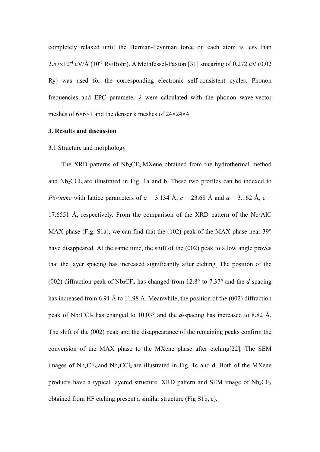completely relaxed until the Herman-Feynman force on each atom is less than  $2.57\times10^{-4}$  eV/Å (10<sup>-5</sup> Ry/Bohr). A Methfessel-Paxton [31] smearing of 0.272 eV (0.02 Ry) was used for the corresponding electronic self-consistent cycles. Phonon frequencies and EPC parameter  $\lambda$  were calculated with the phonon wave-vector meshes of 6×6×1 and the denser k meshes of 24×24×4.

### **3. Results and discussion**

### 3.1 Structure and morphology

The XRD patterns of Nb<sub>2</sub>CF<sub>x</sub> MXene obtained from the hydrothermal method and Nb2CClx are illustrated in Fig. 1a and b. These two profiles can be indexed to *P63/mmc* with lattice parameters of  $a = 3.134$  Å,  $c = 23.68$  Å and  $a = 3.162$  Å,  $c =$ 17.6551 Å, respectively. From the comparison of the XRD pattern of the  $Nb<sub>2</sub>AIC$ MAX phase (Fig. S1a), we can find that the (102) peak of the MAX phase near  $39^{\circ}$ have disappeared. At the same time, the shift of the (002) peak to a low angle proves that the layer spacing has increased significantly after etching. The position of the (002) diffraction peak of Nb2CFx has changed from 12.8° to 7.37° and the *d*-spacing has increased from 6.91 Å to 11.98 Å. Meanwhile, the position of the (002) diffraction peak of  $Nb_2CCl_x$  has changed to  $10.03^\circ$  and the *d*-spacing has increased to 8.82 Å. The shift of the (002) peak and the disappearance of the remaining peaks confirm the conversion of the MAX phase to the MXene phase after etching[22]. The SEM images of  $Nb_2CF_x$  and  $Nb_2CCl_x$  are illustrated in Fig. 1c and d. Both of the MXene products have a typical layered structure. XRD pattern and SEM image of  $Nb<sub>2</sub>CF<sub>x</sub>$ obtained from HF etching present a similar structure (Fig S1b, c).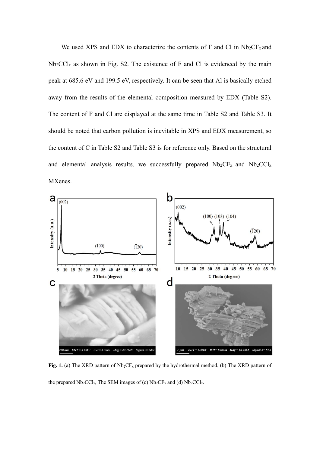We used XPS and EDX to characterize the contents of F and Cl in  $Nb_2CF_x$  and  $Nb<sub>2</sub>CCl<sub>x</sub>$  as shown in Fig. S2. The existence of F and Cl is evidenced by the main peak at 685.6 eV and 199.5 eV, respectively. It can be seen that Al is basically etched away from the results of the elemental composition measured by EDX (Table S2). The content of F and Cl are displayed at the same time in Table S2 and Table S3. It should be noted that carbon pollution is inevitable in XPS and EDX measurement, so the content of C in Table S2 and Table S3 is for reference only. Based on the structural and elemental analysis results, we successfully prepared  $Nb<sub>2</sub>CF<sub>x</sub>$  and  $Nb<sub>2</sub>CCl<sub>x</sub>$ MXenes.



Fig. 1. (a) The XRD pattern of Nb<sub>2</sub>CF<sub>x</sub> prepared by the hydrothermal method, (b) The XRD pattern of the prepared  $Nb<sub>2</sub>CCl<sub>x</sub>$ , The SEM images of (c)  $Nb<sub>2</sub>CF<sub>x</sub>$  and (d)  $Nb<sub>2</sub>CCl<sub>x</sub>$ .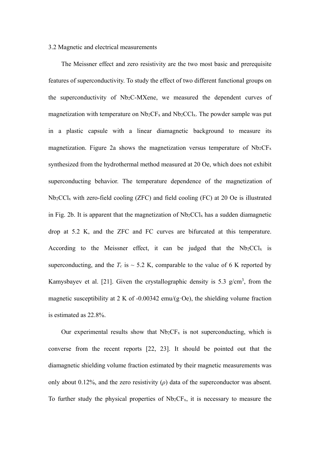### 3.2 Magnetic and electrical measurements

The Meissner effect and zero resistivity are the two most basic and prerequisite features of superconductivity. To study the effect of two different functional groups on the superconductivity of Nb2C-MXene, we measured the dependent curves of magnetization with temperature on  $Nb<sub>2</sub>CF<sub>x</sub>$  and  $Nb<sub>2</sub>CCl<sub>x</sub>$ . The powder sample was put in a plastic capsule with a linear diamagnetic background to measure its magnetization. Figure 2a shows the magnetization versus temperature of  $Nb<sub>2</sub>CF<sub>x</sub>$ synthesized from the hydrothermal method measured at 20 Oe, which does not exhibit superconducting behavior. The temperature dependence of the magnetization of Nb2CClx with zero-field cooling (ZFC) and field cooling (FC) at 20 Oe is illustrated in Fig. 2b. It is apparent that the magnetization of  $Nb<sub>2</sub>CCl<sub>x</sub>$  has a sudden diamagnetic drop at 5.2 K, and the ZFC and FC curves are bifurcated at this temperature. According to the Meissner effect, it can be judged that the  $Nb<sub>2</sub>CCl<sub>x</sub>$  is superconducting, and the  $T_c$  is  $\sim$  5.2 K, comparable to the value of 6 K reported by Kamysbayev et al. [21]. Given the crystallographic density is 5.3  $g/cm<sup>3</sup>$ , from the magnetic susceptibility at 2 K of -0.00342 emu/(g $\cdot$ Oe), the shielding volume fraction is estimated as 22.8%.

Our experimental results show that  $Nb<sub>2</sub>CF<sub>x</sub>$  is not superconducting, which is converse from the recent reports [22, 23]. It should be pointed out that the diamagnetic shielding volume fraction estimated by their magnetic measurements was only about 0.12%, and the zero resistivity (*ρ*) data of the superconductor was absent. To further study the physical properties of  $Nb<sub>2</sub>CF<sub>x</sub>$ , it is necessary to measure the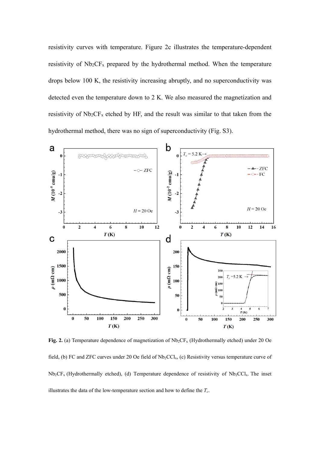resistivity curves with temperature. Figure 2c illustrates the temperature-dependent resistivity of  $Nb<sub>2</sub>CF<sub>x</sub>$  prepared by the hydrothermal method. When the temperature drops below 100 K, the resistivity increasing abruptly, and no superconductivity was detected even the temperature down to 2 K. We also measured the magnetization and resistivity of  $Nb<sub>2</sub>CF<sub>x</sub>$  etched by HF, and the result was similar to that taken from the hydrothermal method, there was no sign of superconductivity (Fig. S3).



Fig. 2. (a) Temperature dependence of magnetization of  $Nb_2CF_x$  (Hydrothermally etched) under 20 Oe field, (b) FC and ZFC curves under 20 Oe field of  $Nb<sub>2</sub>CCl<sub>x</sub>$ , (c) Resistivity versus temperature curve of  $Nb<sub>2</sub>CF<sub>x</sub>$  (Hydrothermally etched), (d) Temperature dependence of resistivity of Nb<sub>2</sub>CCl<sub>x</sub>. The inset illustrates the data of the low-temperature section and how to define the  $T_c$ .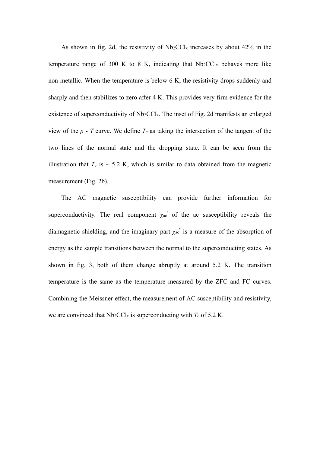As shown in fig. 2d, the resistivity of  $Nb_2CCl_x$  increases by about 42% in the temperature range of 300 K to 8 K, indicating that  $Nb<sub>2</sub>CCl<sub>x</sub>$  behaves more like non-metallic. When the temperature is below 6 K, the resistivity drops suddenly and sharply and then stabilizes to zero after 4 K. This provides very firm evidence for the existence of superconductivity of Nb<sub>2</sub>CCl<sub>x</sub>. The inset of Fig. 2d manifests an enlarged view of the  $\rho$  - *T* curve. We define  $T_c$  as taking the intersection of the tangent of the two lines of the normal state and the dropping state. It can be seen from the illustration that  $T_c$  is  $\sim$  5.2 K, which is similar to data obtained from the magnetic measurement (Fig. 2b).

The AC magnetic susceptibility can provide further information for superconductivity. The real component  $\chi_{ac}$  of the ac susceptibility reveals the diamagnetic shielding, and the imaginary part *χ*ac'' is a measure of the absorption of energy as the sample transitions between the normal to the superconducting states. As shown in fig. 3, both of them change abruptly at around 5.2 K. The transition temperature is the same as the temperature measured by the ZFC and FC curves. Combining the Meissner effect, the measurement of AC susceptibility and resistivity, we are convinced that  $Nb<sub>2</sub>CCl<sub>x</sub>$  is superconducting with  $T<sub>c</sub>$  of 5.2 K.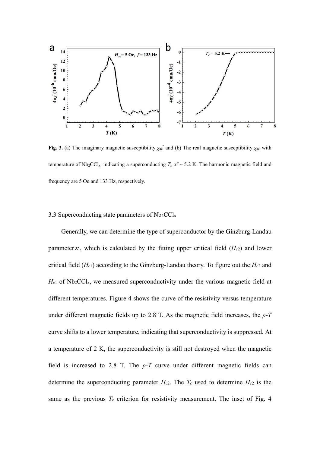

**Fig. 3.** (a) The imaginary magnetic susceptibility  $\chi_{ac}$ <sup>'</sup> and (b) The real magnetic susceptibility  $\chi_{ac}$ ' with temperature of  $Nb<sub>2</sub>CCl<sub>x</sub>$ , indicating a superconducting  $T_c$  of  $\sim$  5.2 K. The harmonic magnetic field and frequency are 5 Oe and 133 Hz, respectively.

### 3.3 Superconducting state parameters of  $Nb<sub>2</sub>CCl<sub>x</sub>$

Generally, we can determine the type of superconductor by the Ginzburg-Landau parameter  $\kappa$ , which is calculated by the fitting upper critical field ( $H_{c2}$ ) and lower critical field (*Hc*1) according to the Ginzburg-Landau theory. To figure out the *Hc*2 and *Hc*1 of Nb2CClx, we measured superconductivity under the various magnetic field at different temperatures. Figure 4 shows the curve of the resistivity versus temperature under different magnetic fields up to 2.8 T. As the magnetic field increases, the  $\rho$ -*T* curve shifts to a lower temperature, indicating that superconductivity is suppressed. At a temperature of 2 K, the superconductivity is still not destroyed when the magnetic field is increased to 2.8 T. The  $\rho$ -*T* curve under different magnetic fields can determine the superconducting parameter  $H_{c2}$ . The  $T_c$  used to determine  $H_{c2}$  is the same as the previous  $T_c$  criterion for resistivity measurement. The inset of Fig. 4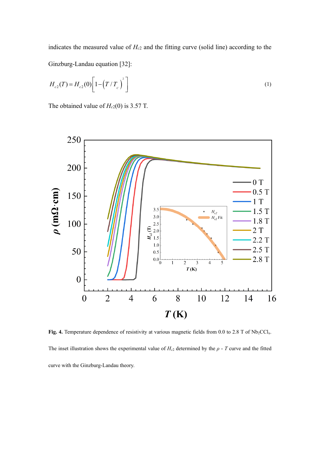indicates the measured value of *Hc*2 and the fitting curve (solid line) according to the Ginzburg-Landau equation [32]:

$$
H_{c2}(T) = H_{c2}(0) \left[ 1 - \left( T / T_c \right)^2 \right] \tag{1}
$$

The obtained value of  $H_c(0)$  is 3.57 T.



Fig. 4. Temperature dependence of resistivity at various magnetic fields from 0.0 to 2.8 T of Nb<sub>2</sub>CCl<sub>x</sub>. The inset illustration shows the experimental value of  $H_{c2}$  determined by the  $\rho$  - *T* curve and the fitted curve with the Ginzburg-Landau theory.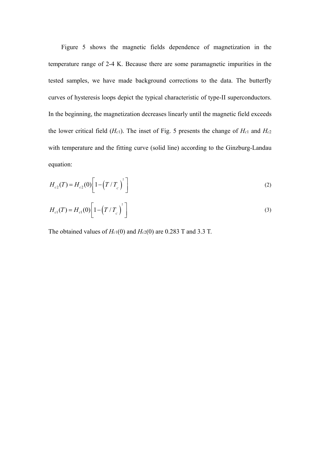Figure 5 shows the magnetic fields dependence of magnetization in the temperature range of 2-4 K. Because there are some paramagnetic impurities in the tested samples, we have made background corrections to the data. The butterfly curves of hysteresis loops depict the typical characteristic of type-II superconductors. In the beginning, the magnetization decreases linearly until the magnetic field exceeds the lower critical field  $(H_c)$ . The inset of Fig. 5 presents the change of  $H_c$ 1 and  $H_c$ 2 with temperature and the fitting curve (solid line) according to the Ginzburg-Landau equation:

$$
H_{c2}(T) = H_{c2}(0) \left[ 1 - \left( T / T_c \right)^2 \right] \tag{2}
$$

$$
H_{c1}(T) = H_{c1}(0) \left[ 1 - \left(T / T_c \right)^2 \right] \tag{3}
$$

The obtained values of *Hc*1(0) and *Hc*2(0) are 0.283 T and 3.3 T.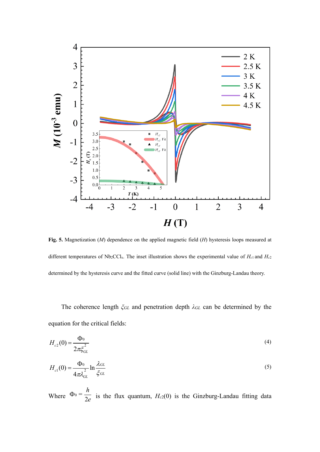

**Fig. 5.** Magnetization (*M*) dependence on the applied magnetic field (*H*) hysteresis loops measured at different temperatures of  $Nb<sub>2</sub>CCl<sub>x</sub>$ . The inset illustration shows the experimental value of  $H<sub>c1</sub>$  and  $H<sub>c2</sub>$ determined by the hysteresis curve and the fitted curve (solid line) with the Ginzburg-Landau theory.

The coherence length *ξGL* and penetration depth *λGL* can be determined by the equation for the critical fields:

$$
H_{c2}(0) = \frac{\Phi_0}{2\pi \xi_{GL}^2}
$$
 (4)

$$
H_{c1}(0) = \frac{\Phi_0}{4\pi\lambda_{GL}^2} \ln \frac{\lambda_{GL}}{\xi_{GL}} \tag{5}
$$

Where  $\Phi_0 = \frac{h}{2\epsilon}$  $\Phi_0 = \frac{n}{2e}$  is the flux quantum, *H<sub>c2</sub>*(0) is the Ginzburg-Landau fitting data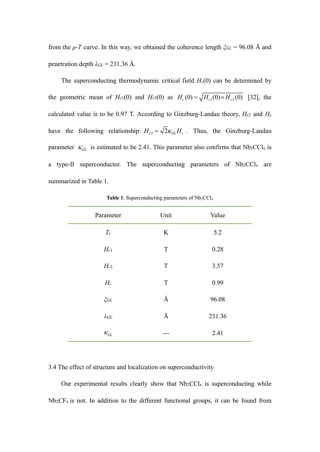from the *ρ*-*T* curve. In this way, we obtained the coherence length *ξGL* = 96.08 Å and penetration depth  $\lambda_{GL} = 231.36$  Å.

The superconducting thermodynamic critical field  $H_c(0)$  can be determined by the geometric mean of  $H_c(0)$  and  $H_c(0)$  as  $H_c(0) = \sqrt{H_c(0) \times H_c(0)}$  [32], the calculated value is to be 0.97 T. According to Ginzburg-Landau theory,  $H_{c2}$  and  $H_c$ have the following relationship:  $H_{c2} = \sqrt{2\kappa_{GL}}H_c$ . Thus, the Ginzburg-Landau parameter  $\kappa_{GL}$  is estimated to be 2.41. This parameter also confirms that Nb<sub>2</sub>CCl<sub>x</sub> is a type-II superconductor. The superconducting parameters of Nb2CCl<sub>x</sub> are summarized in Table 1.

| Parameter                        | Unit        | Value  |
|----------------------------------|-------------|--------|
| $\mathcal{T} _c$                 | $\rm K$     | 5.2    |
| $H_{c1}$                         | $\mathbf T$ | 0.28   |
| $H_{c2}$                         | $\mathbf T$ | 3.57   |
| $H_c$                            | $\mathbf T$ | 0.99   |
| $\zeta$ GL                       | Å           | 96.08  |
| $\lambda$ GL                     | Å           | 231.36 |
| $\kappa_{\scriptscriptstyle GL}$ | ---         | 2.41   |

**Table 1.** Superconducting parameters of  $Nb<sub>2</sub>CCl<sub>x</sub>$ 

# 3.4 The effect of structure and localization on superconductivity

Our experimental results clearly show that  $Nb<sub>2</sub>CCl<sub>x</sub>$  is superconducting while  $Nb<sub>2</sub>CF<sub>x</sub>$  is not. In addition to the different functional groups, it can be found from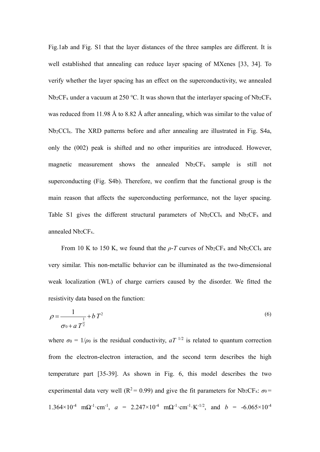Fig.1ab and Fig. S1 that the layer distances of the three samples are different. It is well established that annealing can reduce layer spacing of MXenes [33, 34]. To verify whether the layer spacing has an effect on the superconductivity, we annealed Nb<sub>2</sub>CF<sub>x</sub> under a vacuum at 250 °C. It was shown that the interlayer spacing of Nb<sub>2</sub>CF<sub>x</sub> was reduced from 11.98 Å to 8.82 Å after annealing, which was similar to the value of Nb2CClx. The XRD patterns before and after annealing are illustrated in Fig. S4a, only the (002) peak is shifted and no other impurities are introduced. However, magnetic measurement shows the annealed Nb2CFx sample is still not superconducting (Fig. S4b). Therefore, we confirm that the functional group is the main reason that affects the superconducting performance, not the layer spacing. Table S1 gives the different structural parameters of  $Nb_2CCl_x$  and  $Nb_2CF_x$  and annealed Nb<sub>2</sub>CF<sub>x</sub>.

From 10 K to 150 K, we found that the  $\rho$ -*T* curves of Nb<sub>2</sub>CF<sub>x</sub> and Nb<sub>2</sub>CCl<sub>x</sub> are very similar. This non-metallic behavior can be illuminated as the two-dimensional weak localization (WL) of charge carriers caused by the disorder. We fitted the resistivity data based on the function:

$$
\rho = \frac{1}{\sigma_0 + a \, T^2} + b \, T^2 \tag{6}
$$

where  $\sigma_0 = 1/\rho_0$  is the residual conductivity,  $aT^{-1/2}$  is related to quantum correction from the electron-electron interaction, and the second term describes the high temperature part [35-39]. As shown in Fig. 6, this model describes the two experimental data very well ( $R^2 = 0.99$ ) and give the fit parameters for Nb<sub>2</sub>CF<sub>x</sub>:  $\sigma_0 =$ 1.364×10<sup>-4</sup> mΩ<sup>-1</sup>⋅cm<sup>-1</sup>, *a* = 2.247×10<sup>-4</sup> mΩ<sup>-1</sup>⋅cm<sup>-1</sup>⋅K<sup>-1/2</sup>, and *b* = -6.065×10<sup>-4</sup>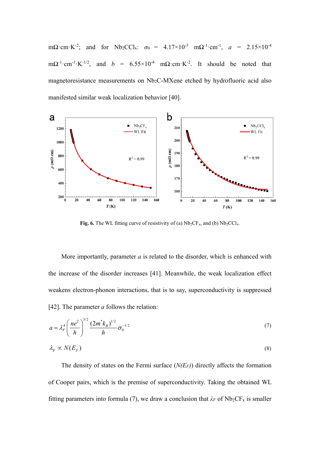mΩꞏcmꞏK-2; and for Nb2CClx: *σ*0 = 4.17×10-3 mΩ-1ꞏcm-1, *a* = 2.15×10-4 m $\Omega^{-1}$ ·cm<sup>-1</sup>·K<sup>-1/2</sup>, and *b* = 6.55×10<sup>-4</sup> m $\Omega$ ·cm·K<sup>-2</sup>. It should be noted that magnetoresistance measurements on Nb2C-MXene etched by hydrofluoric acid also manifested similar weak localization behavior [40].



**Fig. 6.** The WL fitting curve of resistivity of (a)  $Nb<sub>2</sub>CF<sub>x</sub>$ , and (b)  $Nb<sub>2</sub>CCl<sub>x</sub>$ .

More importantly, parameter *a* is related to the disorder, which is enhanced with the increase of the disorder increases [41]. Meanwhile, the weak localization effect weakens electron-phonon interactions, that is to say, superconductivity is suppressed [42]. The parameter *a* follows the relation:

$$
a = \lambda_F^4 \left(\frac{ne^2}{h}\right)^{3/2} \frac{(2m^*k_B)^{1/2}}{h} \sigma_0^{-1/2}
$$
 (7)

$$
\lambda_F \propto N(E_F) \tag{8}
$$

The density of states on the Fermi surface (*N(EF)*) directly affects the formation of Cooper pairs, which is the premise of superconductivity. Taking the obtained WL fitting parameters into formula (7), we draw a conclusion that  $\lambda_F$  of Nb<sub>2</sub>CF<sub>x</sub> is smaller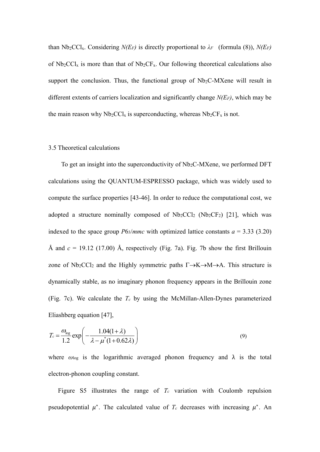than  $Nb_2CCl_x$ . Considering *N(EF)* is directly proportional to  $\lambda_F$  (formula (8)), *N(EF)* of  $Nb<sub>2</sub>CCl<sub>x</sub>$  is more than that of  $Nb<sub>2</sub>CF<sub>x</sub>$ . Our following theoretical calculations also support the conclusion. Thus, the functional group of  $Nb<sub>2</sub>C-MXene$  will result in different extents of carriers localization and significantly change *N(EF)*, which may be the main reason why  $Nb<sub>2</sub>CCl<sub>x</sub>$  is superconducting, whereas  $Nb<sub>2</sub>CF<sub>x</sub>$  is not.

#### 3.5 Theoretical calculations

To get an insight into the superconductivity of Nb2C-MXene, we performed DFT calculations using the QUANTUM-ESPRESSO package, which was widely used to compute the surface properties [43-46]. In order to reduce the computational cost, we adopted a structure nominally composed of  $Nb_2CCl_2$  ( $Nb_2CF_2$ ) [21], which was indexed to the space group  $P6_3/mmc$  with optimized lattice constants  $a = 3.33$  (3.20) Å and  $c = 19.12$  (17.00) Å, respectively (Fig. 7a). Fig. 7b show the first Brillouin zone of Nb<sub>2</sub>CCl<sub>2</sub> and the Highly symmetric paths  $\Gamma \rightarrow K \rightarrow M \rightarrow A$ . This structure is dynamically stable, as no imaginary phonon frequency appears in the Brillouin zone (Fig. 7c). We calculate the  $T_c$  by using the McMillan-Allen-Dynes parameterized Eliashberg equation [47],

$$
T_c = \frac{\omega_{\text{log}}}{1.2} \exp\left(-\frac{1.04(1+\lambda)}{\lambda - \mu^*(1+0.62\lambda)}\right)
$$
(9)

where *ω*log is the logarithmic averaged phonon frequency and λ is the total electron-phonon coupling constant.

Figure S5 illustrates the range of *Tc* variation with Coulomb repulsion pseudopotential  $\mu^*$ . The calculated value of  $T_c$  decreases with increasing  $\mu^*$ . An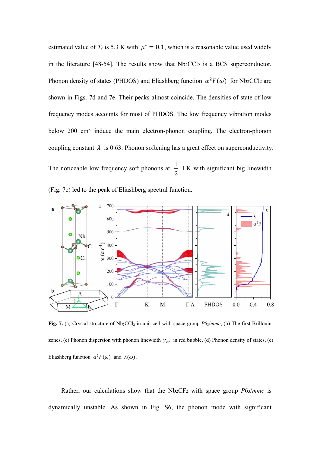estimated value of  $T_c$  is 5.3 K with  $\mu^* = 0.1$ , which is a reasonable value used widely in the literature [48-54]. The results show that  $Nb<sub>2</sub>CCl<sub>2</sub>$  is a BCS superconductor. Phonon density of states (PHDOS) and Eliashberg function  $\alpha^2 F(\omega)$  for Nb<sub>2</sub>CCl<sub>2</sub> are shown in Figs. 7d and 7e. Their peaks almost coincide. The densities of state of low frequency modes accounts for most of PHDOS. The low frequency vibration modes below 200 cm<sup>-1</sup> induce the main electron-phonon coupling. The electron-phonon coupling constant  $\lambda$  is 0.63. Phonon softening has a great effect on superconductivity. The noticeable low frequency soft phonons at  $\frac{1}{2}$ 2 TK with significant big linewidth (Fig. 7c) led to the peak of Eliashberg spectral function.



Fig. 7. (a) Crystal structure of Nb<sub>2</sub>CCl<sub>2</sub> in unit cell with space group *P63/mmc*, (b) The first Brillouin zones, (c) Phonon dispersion with phonon linewidth  $\gamma_{qv}$  in red bubble, (d) Phonon density of states, (e) Eliashberg function  $\alpha^2 F(\omega)$  and  $\lambda(\omega)$ .

Rather, our calculations show that the Nb2CF2 with space group *P*63/*mmc* is dynamically unstable. As shown in Fig. S6, the phonon mode with significant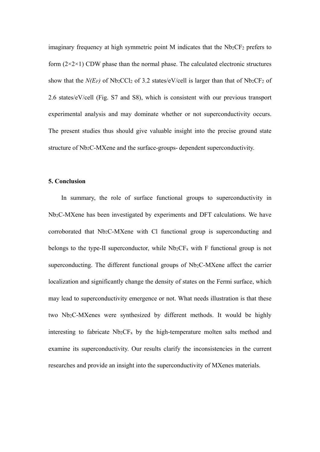imaginary frequency at high symmetric point M indicates that the Nb<sub>2</sub>CF<sub>2</sub> prefers to form  $(2\times2\times1)$  CDW phase than the normal phase. The calculated electronic structures show that the  $N(E_F)$  of  $Nb_2CCl_2$  of 3.2 states/eV/cell is larger than that of  $Nb_2CF_2$  of 2.6 states/eV/cell (Fig. S7 and S8), which is consistent with our previous transport experimental analysis and may dominate whether or not superconductivity occurs. The present studies thus should give valuable insight into the precise ground state structure of Nb<sub>2</sub>C-MXene and the surface-groups- dependent superconductivity.

### **5. Conclusion**

In summary, the role of surface functional groups to superconductivity in Nb2C-MXene has been investigated by experiments and DFT calculations. We have corroborated that Nb2C-MXene with Cl functional group is superconducting and belongs to the type-II superconductor, while  $Nb<sub>2</sub>CF<sub>x</sub>$  with F functional group is not superconducting. The different functional groups of Nb<sub>2</sub>C-MXene affect the carrier localization and significantly change the density of states on the Fermi surface, which may lead to superconductivity emergence or not. What needs illustration is that these two Nb2C-MXenes were synthesized by different methods. It would be highly interesting to fabricate  $Nb<sub>2</sub>CF<sub>x</sub>$  by the high-temperature molten salts method and examine its superconductivity. Our results clarify the inconsistencies in the current researches and provide an insight into the superconductivity of MXenes materials.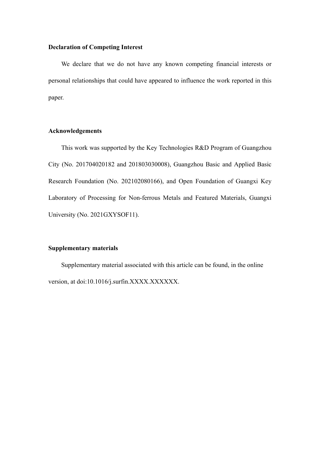# **Declaration of Competing Interest**

We declare that we do not have any known competing financial interests or personal relationships that could have appeared to influence the work reported in this paper.

### **Acknowledgements**

This work was supported by the Key Technologies R&D Program of Guangzhou City (No. 201704020182 and 201803030008), Guangzhou Basic and Applied Basic Research Foundation (No. 202102080166), and Open Foundation of Guangxi Key Laboratory of Processing for Non-ferrous Metals and Featured Materials, Guangxi University (No. 2021GXYSOF11).

# **Supplementary materials**

Supplementary material associated with this article can be found, in the online version, at doi:10.1016/j.surfin.XXXX.XXXXXX.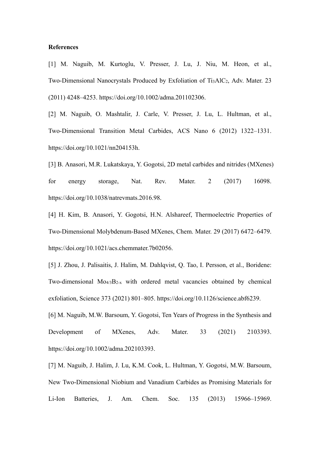#### **References**

[1] M. Naguib, M. Kurtoglu, V. Presser, J. Lu, J. Niu, M. Heon, et al., Two-Dimensional Nanocrystals Produced by Exfoliation of Ti<sub>3</sub>AlC<sub>2</sub>, Adv. Mater. 23 (2011) 4248–4253. https://doi.org/10.1002/adma.201102306.

[2] M. Naguib, O. Mashtalir, J. Carle, V. Presser, J. Lu, L. Hultman, et al., Two-Dimensional Transition Metal Carbides, ACS Nano 6 (2012) 1322–1331. https://doi.org/10.1021/nn204153h.

[3] B. Anasori, M.R. Lukatskaya, Y. Gogotsi, 2D metal carbides and nitrides (MXenes) for energy storage, Nat. Rev. Mater. 2 (2017) 16098. https://doi.org/10.1038/natrevmats.2016.98.

[4] H. Kim, B. Anasori, Y. Gogotsi, H.N. Alshareef, Thermoelectric Properties of Two-Dimensional Molybdenum-Based MXenes, Chem. Mater. 29 (2017) 6472–6479. https://doi.org/10.1021/acs.chemmater.7b02056.

[5] J. Zhou, J. Palisaitis, J. Halim, M. Dahlqvist, Q. Tao, I. Persson, et al., Boridene: Two-dimensional Mo4/3B2-x with ordered metal vacancies obtained by chemical exfoliation, Science 373 (2021) 801–805. https://doi.org/10.1126/science.abf6239.

[6] M. Naguib, M.W. Barsoum, Y. Gogotsi, Ten Years of Progress in the Synthesis and Development of MXenes, Adv. Mater. 33 (2021) 2103393. https://doi.org/10.1002/adma.202103393.

[7] M. Naguib, J. Halim, J. Lu, K.M. Cook, L. Hultman, Y. Gogotsi, M.W. Barsoum, New Two-Dimensional Niobium and Vanadium Carbides as Promising Materials for Li-Ion Batteries, J. Am. Chem. Soc. 135 (2013) 15966–15969.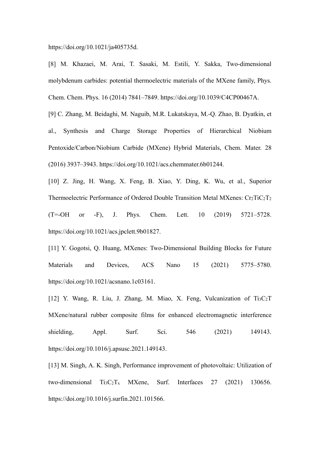https://doi.org/10.1021/ja405735d.

[8] M. Khazaei, M. Arai, T. Sasaki, M. Estili, Y. Sakka, Two-dimensional molybdenum carbides: potential thermoelectric materials of the MXene family, Phys. Chem. Chem. Phys. 16 (2014) 7841–7849. https://doi.org/10.1039/C4CP00467A.

[9] C. Zhang, M. Beidaghi, M. Naguib, M.R. Lukatskaya, M.-Q. Zhao, B. Dyatkin, et al., Synthesis and Charge Storage Properties of Hierarchical Niobium Pentoxide/Carbon/Niobium Carbide (MXene) Hybrid Materials, Chem. Mater. 28 (2016) 3937–3943. https://doi.org/10.1021/acs.chemmater.6b01244.

[10] Z. Jing, H. Wang, X. Feng, B. Xiao, Y. Ding, K. Wu, et al., Superior Thermoelectric Performance of Ordered Double Transition Metal MXenes:  $Cr_2TiC_2T_2$ (T=-OH or -F), J. Phys. Chem. Lett. 10 (2019) 5721–5728. https://doi.org/10.1021/acs.jpclett.9b01827.

[11] Y. Gogotsi, Q. Huang, MXenes: Two-Dimensional Building Blocks for Future Materials and Devices, ACS Nano 15 (2021) 5775–5780. https://doi.org/10.1021/acsnano.1c03161.

[12] Y. Wang, R. Liu, J. Zhang, M. Miao, X. Feng, Vulcanization of Ti3C<sub>2</sub>T MXene/natural rubber composite films for enhanced electromagnetic interference shielding, Appl. Surf. Sci. 546 (2021) 149143. https://doi.org/10.1016/j.apsusc.2021.149143.

[13] M. Singh, A. K. Singh, Performance improvement of photovoltaic: Utilization of two-dimensional Ti3C2Tx MXene, Surf. Interfaces 27 (2021) 130656. https://doi.org/10.1016/j.surfin.2021.101566.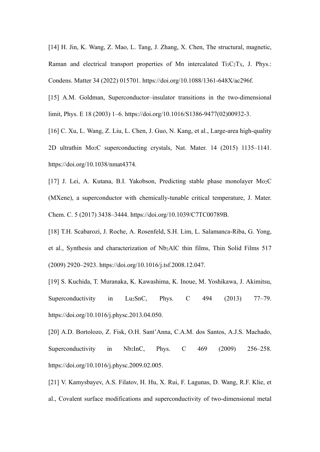[14] H. Jin, K. Wang, Z. Mao, L. Tang, J. Zhang, X. Chen, The structural, magnetic, Raman and electrical transport properties of Mn intercalated  $Ti_3C_2Tx$ , J. Phys.: Condens. Matter 34 (2022) 015701. https://doi.org/10.1088/1361-648X/ac296f.

[15] A.M. Goldman, Superconductor–insulator transitions in the two-dimensional limit, Phys. E 18 (2003) 1–6. https://doi.org/10.1016/S1386-9477(02)00932-3.

[16] C. Xu, L. Wang, Z. Liu, L. Chen, J. Guo, N. Kang, et al., Large-area high-quality 2D ultrathin Mo2C superconducting crystals, Nat. Mater. 14 (2015) 1135–1141. https://doi.org/10.1038/nmat4374.

[17] J. Lei, A. Kutana, B.I. Yakobson, Predicting stable phase monolayer Mo2C (MXene), a superconductor with chemically-tunable critical temperature, J. Mater. Chem. C. 5 (2017) 3438–3444. https://doi.org/10.1039/C7TC00789B.

[18] T.H. Scabarozi, J. Roche, A. Rosenfeld, S.H. Lim, L. Salamanca-Riba, G. Yong, et al., Synthesis and characterization of Nb2AlC thin films, Thin Solid Films 517 (2009) 2920–2923. https://doi.org/10.1016/j.tsf.2008.12.047.

[19] S. Kuchida, T. Muranaka, K. Kawashima, K. Inoue, M. Yoshikawa, J. Akimitsu, Superconductivity in Lu<sub>2</sub>SnC, Phys. C  $494$  (2013) 77–79. https://doi.org/10.1016/j.physc.2013.04.050.

[20] A.D. Bortolozo, Z. Fisk, O.H. Sant'Anna, C.A.M. dos Santos, A.J.S. Machado, Superconductivity in Nb<sub>2</sub>InC, Phys. C 469 (2009) 256–258. https://doi.org/10.1016/j.physc.2009.02.005.

[21] V. Kamysbayev, A.S. Filatov, H. Hu, X. Rui, F. Lagunas, D. Wang, R.F. Klie, et al., Covalent surface modifications and superconductivity of two-dimensional metal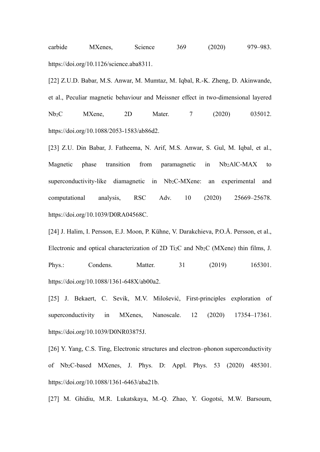carbide MXenes, Science 369 (2020) 979–983. https://doi.org/10.1126/science.aba8311.

[22] Z.U.D. Babar, M.S. Anwar, M. Mumtaz, M. Iqbal, R.-K. Zheng, D. Akinwande, et al., Peculiar magnetic behaviour and Meissner effect in two-dimensional layered Nb<sub>2</sub>C MXene, 2D Mater. 7 (2020) 035012. https://doi.org/10.1088/2053-1583/ab86d2.

[23] Z.U. Din Babar, J. Fatheema, N. Arif, M.S. Anwar, S. Gul, M. Iqbal, et al., Magnetic phase transition from paramagnetic in Nb2AlC-MAX to superconductivity-like diamagnetic in Nb<sub>2</sub>C-MXene: an experimental and computational analysis, RSC Adv. 10 (2020) 25669–25678. https://doi.org/10.1039/D0RA04568C.

[24] J. Halim, I. Persson, E.J. Moon, P. Kühne, V. Darakchieva, P.O.Å. Persson, et al., Electronic and optical characterization of 2D Ti2C and Nb2C (MXene) thin films, J. Phys.: Condens. Matter. 31 (2019) 165301. https://doi.org/10.1088/1361-648X/ab00a2.

[25] J. Bekaert, C. Sevik, M.V. Milošević, First-principles exploration of superconductivity in MXenes, Nanoscale. 12 (2020) 17354–17361. https://doi.org/10.1039/D0NR03875J.

[26] Y. Yang, C.S. Ting, Electronic structures and electron–phonon superconductivity of Nb2C-based MXenes, J. Phys. D: Appl. Phys. 53 (2020) 485301. https://doi.org/10.1088/1361-6463/aba21b.

[27] M. Ghidiu, M.R. Lukatskaya, M.-Q. Zhao, Y. Gogotsi, M.W. Barsoum,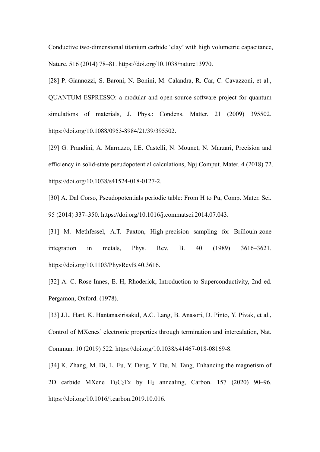Conductive two-dimensional titanium carbide 'clay' with high volumetric capacitance, Nature. 516 (2014) 78–81. https://doi.org/10.1038/nature13970.

[28] P. Giannozzi, S. Baroni, N. Bonini, M. Calandra, R. Car, C. Cavazzoni, et al., QUANTUM ESPRESSO: a modular and open-source software project for quantum simulations of materials, J. Phys.: Condens. Matter. 21 (2009) 395502. https://doi.org/10.1088/0953-8984/21/39/395502.

[29] G. Prandini, A. Marrazzo, I.E. Castelli, N. Mounet, N. Marzari, Precision and efficiency in solid-state pseudopotential calculations, Npj Comput. Mater. 4 (2018) 72. https://doi.org/10.1038/s41524-018-0127-2.

[30] A. Dal Corso, Pseudopotentials periodic table: From H to Pu, Comp. Mater. Sci. 95 (2014) 337–350. https://doi.org/10.1016/j.commatsci.2014.07.043.

[31] M. Methfessel, A.T. Paxton, High-precision sampling for Brillouin-zone integration in metals, Phys. Rev. B. 40 (1989) 3616–3621. https://doi.org/10.1103/PhysRevB.40.3616.

[32] A. C. Rose-Innes, E. H, Rhoderick, Introduction to Superconductivity, 2nd ed. Pergamon, Oxford. (1978).

[33] J.L. Hart, K. Hantanasirisakul, A.C. Lang, B. Anasori, D. Pinto, Y. Pivak, et al., Control of MXenes' electronic properties through termination and intercalation, Nat. Commun. 10 (2019) 522. https://doi.org/10.1038/s41467-018-08169-8.

[34] K. Zhang, M. Di, L. Fu, Y. Deng, Y. Du, N. Tang, Enhancing the magnetism of 2D carbide MXene Ti3C2Tx by H2 annealing, Carbon. 157 (2020) 90–96. https://doi.org/10.1016/j.carbon.2019.10.016.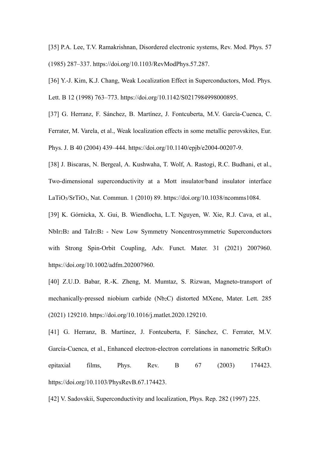[35] P.A. Lee, T.V. Ramakrishnan, Disordered electronic systems, Rev. Mod. Phys. 57 (1985) 287–337. https://doi.org/10.1103/RevModPhys.57.287.

[36] Y.-J. Kim, K.J. Chang, Weak Localization Effect in Superconductors, Mod. Phys. Lett. B 12 (1998) 763–773. https://doi.org/10.1142/S0217984998000895.

[37] G. Herranz, F. Sánchez, B. Martínez, J. Fontcuberta, M.V. García-Cuenca, C. Ferrater, M. Varela, et al., Weak localization effects in some metallic perovskites, Eur. Phys. J. B 40 (2004) 439–444. https://doi.org/10.1140/epjb/e2004-00207-9.

[38] J. Biscaras, N. Bergeal, A. Kushwaha, T. Wolf, A. Rastogi, R.C. Budhani, et al., Two-dimensional superconductivity at a Mott insulator/band insulator interface LaTiO3/SrTiO3, Nat. Commun. 1 (2010) 89. https://doi.org/10.1038/ncomms1084.

[39] K. Górnicka, X. Gui, B. Wiendlocha, L.T. Nguyen, W. Xie, R.J. Cava, et al., NbIr2B2 and TaIr2B2 - New Low Symmetry Noncentrosymmetric Superconductors with Strong Spin-Orbit Coupling, Adv. Funct. Mater. 31 (2021) 2007960. https://doi.org/10.1002/adfm.202007960.

[40] Z.U.D. Babar, R.-K. Zheng, M. Mumtaz, S. Rizwan, Magneto-transport of mechanically-pressed niobium carbide (Nb<sub>2</sub>C) distorted MXene, Mater. Lett. 285 (2021) 129210. https://doi.org/10.1016/j.matlet.2020.129210.

[41] G. Herranz, B. Martínez, J. Fontcuberta, F. Sánchez, C. Ferrater, M.V. García-Cuenca, et al., Enhanced electron-electron correlations in nanometric SrRuO3 epitaxial films, Phys. Rev. B 67 (2003) 174423. https://doi.org/10.1103/PhysRevB.67.174423.

[42] V. Sadovskii, Superconductivity and localization, Phys. Rep. 282 (1997) 225.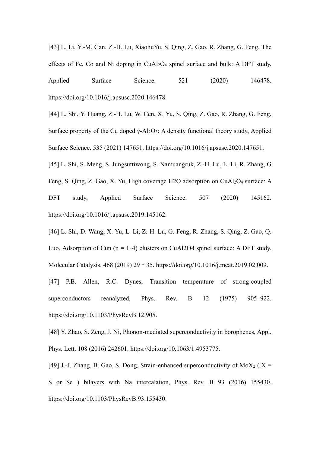[43] L. Li, Y.-M. Gan, Z.-H. Lu, XiaohuYu, S. Qing, Z. Gao, R. Zhang, G. Feng, The effects of Fe, Co and Ni doping in CuAl2O4 spinel surface and bulk: A DFT study, Applied Surface Science. 521 (2020) 146478. https://doi.org/10.1016/j.apsusc.2020.146478.

[44] L. Shi, Y. Huang, Z.-H. Lu, W. Cen, X. Yu, S. Qing, Z. Gao, R. Zhang, G. Feng, Surface property of the Cu doped  $\gamma$ -Al<sub>2</sub>O<sub>3</sub>: A density functional theory study, Applied Surface Science. 535 (2021) 147651. https://doi.org/10.1016/j.apsusc.2020.147651.

[45] L. Shi, S. Meng, S. Jungsuttiwong, S. Namuangruk, Z.-H. Lu, L. Li, R. Zhang, G.

Feng, S. Qing, Z. Gao, X. Yu, High coverage H2O adsorption on CuAl2O4 surface: A

DFT study, Applied Surface Science. 507 (2020) 145162. https://doi.org/10.1016/j.apsusc.2019.145162.

[46] L. Shi, D. Wang, X. Yu, L. Li, Z.-H. Lu, G. Feng, R. Zhang, S. Qing, Z. Gao, Q. Luo, Adsorption of Cun ( $n = 1-4$ ) clusters on CuAl2O4 spinel surface: A DFT study, Molecular Catalysis. 468 (2019) 29–35. https://doi.org/10.1016/j.mcat.2019.02.009.

[47] P.B. Allen, R.C. Dynes, Transition temperature of strong-coupled superconductors reanalyzed, Phys. Rev. B 12 (1975) 905–922. https://doi.org/10.1103/PhysRevB.12.905.

[48] Y. Zhao, S. Zeng, J. Ni, Phonon-mediated superconductivity in borophenes, Appl. Phys. Lett. 108 (2016) 242601. https://doi.org/10.1063/1.4953775.

[49] J.-J. Zhang, B. Gao, S. Dong, Strain-enhanced superconductivity of MoX<sub>2</sub> ( $X =$ S or Se ) bilayers with Na intercalation, Phys. Rev. B 93 (2016) 155430. https://doi.org/10.1103/PhysRevB.93.155430.